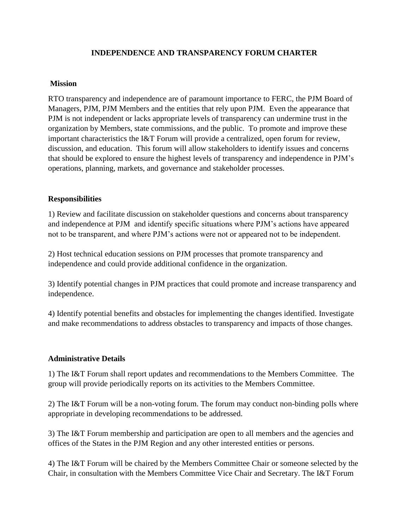## **INDEPENDENCE AND TRANSPARENCY FORUM CHARTER**

## **Mission**

RTO transparency and independence are of paramount importance to FERC, the PJM Board of Managers, PJM, PJM Members and the entities that rely upon PJM. Even the appearance that PJM is not independent or lacks appropriate levels of transparency can undermine trust in the organization by Members, state commissions, and the public. To promote and improve these important characteristics the I&T Forum will provide a centralized, open forum for review, discussion, and education. This forum will allow stakeholders to identify issues and concerns that should be explored to ensure the highest levels of transparency and independence in PJM's operations, planning, markets, and governance and stakeholder processes.

## **Responsibilities**

1) Review and facilitate discussion on stakeholder questions and concerns about transparency and independence at PJM and identify specific situations where PJM's actions have appeared not to be transparent, and where PJM's actions were not or appeared not to be independent.

2) Host technical education sessions on PJM processes that promote transparency and independence and could provide additional confidence in the organization.

3) Identify potential changes in PJM practices that could promote and increase transparency and independence.

4) Identify potential benefits and obstacles for implementing the changes identified. Investigate and make recommendations to address obstacles to transparency and impacts of those changes.

## **Administrative Details**

1) The I&T Forum shall report updates and recommendations to the Members Committee. The group will provide periodically reports on its activities to the Members Committee.

2) The I&T Forum will be a non-voting forum. The forum may conduct non-binding polls where appropriate in developing recommendations to be addressed.

3) The I&T Forum membership and participation are open to all members and the agencies and offices of the States in the PJM Region and any other interested entities or persons.

4) The I&T Forum will be chaired by the Members Committee Chair or someone selected by the Chair, in consultation with the Members Committee Vice Chair and Secretary. The I&T Forum